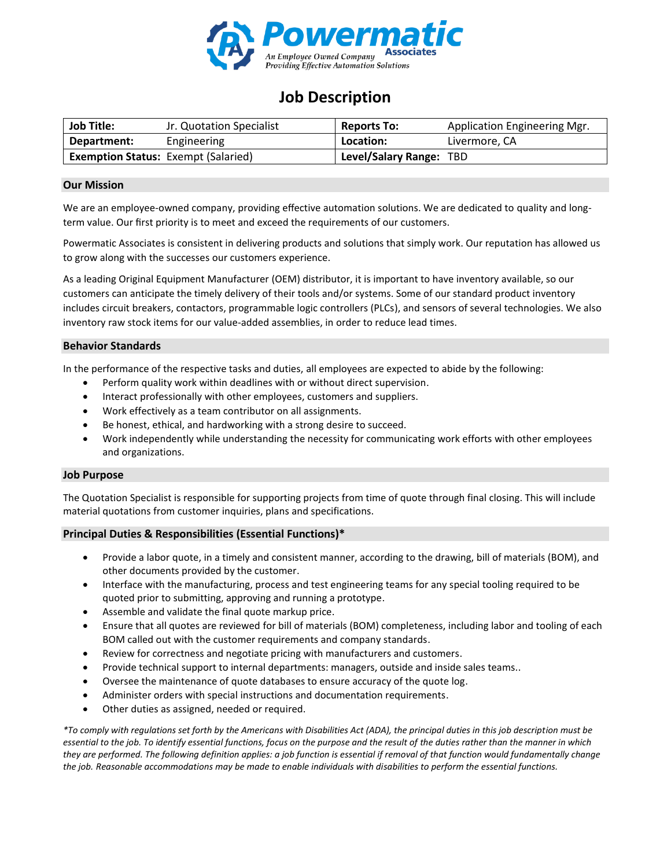

# **Job Description**

| <b>Job Title:</b> | Jr. Quotation Specialist                   | <b>Reports To:</b>      | Application Engineering Mgr. |
|-------------------|--------------------------------------------|-------------------------|------------------------------|
| Department:       | Engineering                                | Location:               | Livermore, CA                |
|                   | <b>Exemption Status: Exempt (Salaried)</b> | Level/Salary Range: TBD |                              |

## **Our Mission**

We are an employee-owned company, providing effective automation solutions. We are dedicated to quality and longterm value. Our first priority is to meet and exceed the requirements of our customers.

Powermatic Associates is consistent in delivering products and solutions that simply work. Our reputation has allowed us to grow along with the successes our customers experience.

As a leading Original Equipment Manufacturer (OEM) distributor, it is important to have inventory available, so our customers can anticipate the timely delivery of their tools and/or systems. Some of our standard product inventory includes circuit breakers, contactors, programmable logic controllers (PLCs), and sensors of several technologies. We also inventory raw stock items for our value-added assemblies, in order to reduce lead times.

### **Behavior Standards**

In the performance of the respective tasks and duties, all employees are expected to abide by the following:

- Perform quality work within deadlines with or without direct supervision.
- Interact professionally with other employees, customers and suppliers.
- Work effectively as a team contributor on all assignments.
- Be honest, ethical, and hardworking with a strong desire to succeed.
- Work independently while understanding the necessity for communicating work efforts with other employees and organizations.

#### **Job Purpose**

The Quotation Specialist is responsible for supporting projects from time of quote through final closing. This will include material quotations from customer inquiries, plans and specifications.

# **Principal Duties & Responsibilities (Essential Functions)\***

- Provide a labor quote, in a timely and consistent manner, according to the drawing, bill of materials (BOM), and other documents provided by the customer.
- Interface with the manufacturing, process and test engineering teams for any special tooling required to be quoted prior to submitting, approving and running a prototype.
- Assemble and validate the final quote markup price.
- Ensure that all quotes are reviewed for bill of materials (BOM) completeness, including labor and tooling of each BOM called out with the customer requirements and company standards.
- Review for correctness and negotiate pricing with manufacturers and customers.
- Provide technical support to internal departments: managers, outside and inside sales teams..
- Oversee the maintenance of quote databases to ensure accuracy of the quote log.
- Administer orders with special instructions and documentation requirements.
- Other duties as assigned, needed or required.

*\*To comply with regulations set forth by the Americans with Disabilities Act (ADA), the principal duties in this job description must be essential to the job. To identify essential functions, focus on the purpose and the result of the duties rather than the manner in which they are performed. The following definition applies: a job function is essential if removal of that function would fundamentally change the job. Reasonable accommodations may be made to enable individuals with disabilities to perform the essential functions.*